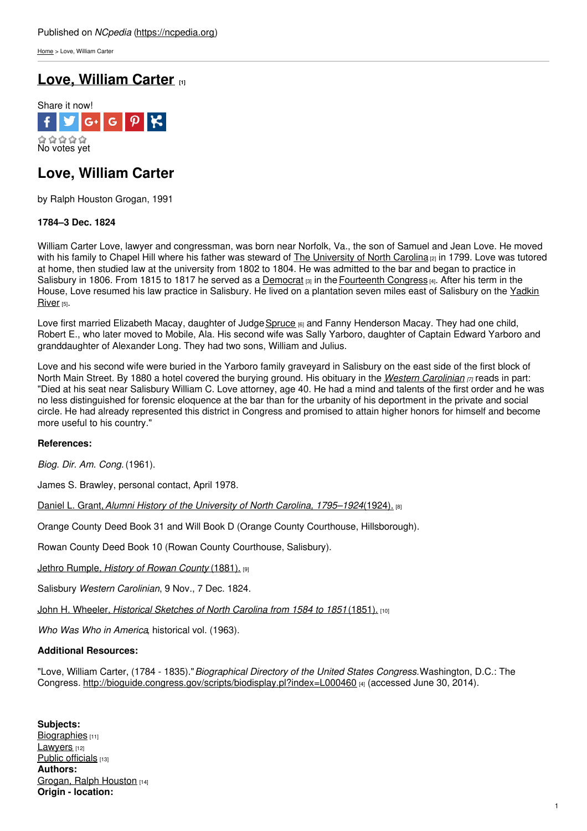[Home](https://ncpedia.org/) > Love, William Carter

# **Love, [William](https://ncpedia.org/biography/love-william-carter) Carter [1]**



## **Love, William Carter**

by Ralph Houston Grogan, 1991

### **1784–3 Dec. 1824**

William Carter Love, lawyer and congressman, was born near Norfolk, Va., the son of Samuel and Jean Love. He moved with his family to Chapel Hill where his father was steward of The [University](https://ncpedia.org/university-north-carolina-chapel-hi) of North Carolina <sub>[2]</sub> in 1799. Love was tutored at home, then studied law at the un[iversity](http://www.social9.com) from 1802 to 1804. He was admitted to the bar and began to practice in Salisbury in 1806. From 1815 to 1817 he served as a [Democrat](https://ncpedia.org/history/1776-1860/democrats-whigs)  $\frac{1}{131}$  in the [Fourteenth](http://bioguide.congress.gov/scripts/biodisplay.pl?index=L000460) Congress  $\frac{1}{141}$ . After his term in the House, Love resumed his law practice in [Salisbury.](https://ncpedia.org/rivers/yadkin-pee-dee) He lived on a plantation seven miles east of Salisbury on the Yadkin River [5].

Love first married Elizabeth Macay, daughter of Judge [Spruce](https://ncpedia.org/biography/macay-spruce) [6] and Fanny Henderson Macay. They had one child, Robert E., who later moved to Mobile, Ala. His second wife was Sally Yarboro, daughter of Captain Edward Yarboro and granddaughter of Alexander Long. They had two sons, William and Julius.

Love and his second wife were buried in the Yarboro family graveyard in Salisbury on the east side of the first block of North Main Street. By 1880 a hotel covered the burying ground. His obituary in the *Western [Carolinian](https://ncpedia.org/western-carolinian) [7]* reads in part: "Died at his seat near Salisbury William C. Love attorney, age 40. He had a mind and talents of the first order and he was no less distinguished for forensic eloquence at the bar than for the urbanity of his deportment in the private and social circle. He had already represented this district in Congress and promised to attain higher honors for himself and become more useful to his country."

### **References:**

*Biog. Dir. Am. Cong.* (1961).

James S. Brawley, personal contact, April 1978.

Daniel L. Grant,*Alumni History of the University of North Carolina, [1795–1924](https://docsouth.unc.edu/true/grant/menu.html)*(1924). [8]

Orange County Deed Book 31 and Will Book D (Orange County Courthouse, Hillsborough).

Rowan County Deed Book 10 (Rowan County Courthouse, Salisbury).

Jethro [Rumple,](https://archive.org/details/historyofrowanco00rump) *History of Rowan County* (1881). [9]

Salisbury *Western Carolinian*, 9 Nov., 7 Dec. 1824.

John H. Wheeler, *Historical [Sketches](https://archive.org/details/historicalsketch01wheeuoft) of North Carolina from 1584 to 1851*(1851). [10]

*Who Was Who in America*, historical vol. (1963).

### **Additional Resources:**

"Love, William Carter, (1784 - 1835)."*Biographical Directory of the United States Congress.*Washington, D.C.: The Congress. <http://bioguide.congress.gov/scripts/biodisplay.pl?index=L000460> [4] (accessed June 30, 2014).

**Subjects:** [Biographies](https://ncpedia.org/category/subjects/biography-term) [11] [Lawyers](https://ncpedia.org/category/subjects/lawyers) [12] Public [officials](https://ncpedia.org/category/subjects/public-officials) [13] **Authors:** Grogan, Ralph [Houston](https://ncpedia.org/category/authors/grogan-ralph) [14] **Origin - location:**